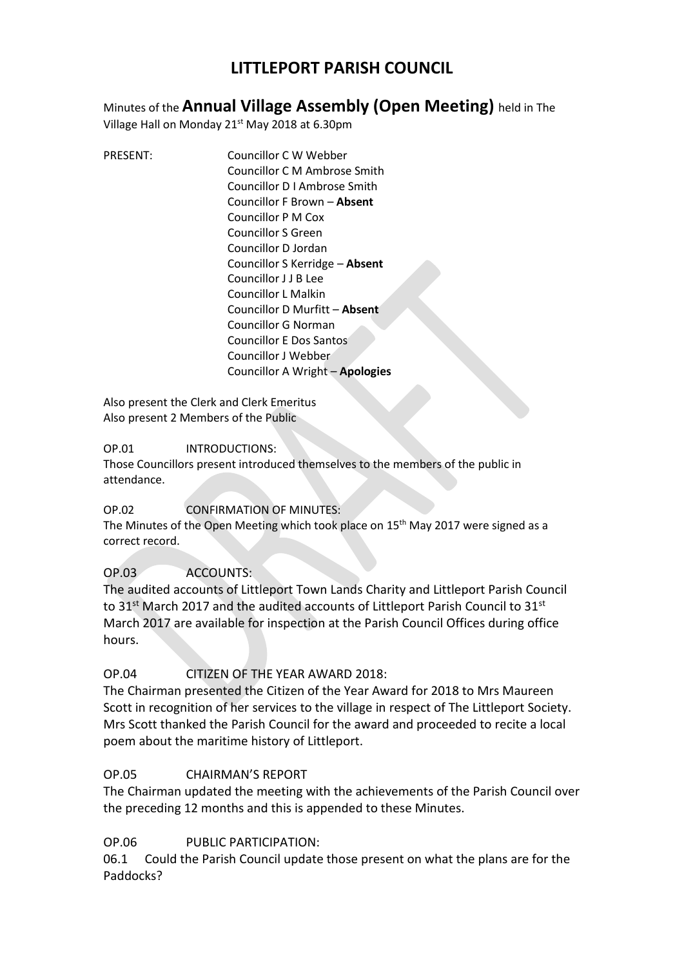# **LITTLEPORT PARISH COUNCIL**

Minutes of the **Annual Village Assembly (Open Meeting)** held in The

Village Hall on Monday 21<sup>st</sup> May 2018 at 6.30pm

PRESENT: Councillor C W Webber Councillor C M Ambrose Smith Councillor D I Ambrose Smith Councillor F Brown – **Absent** Councillor P M Cox Councillor S Green Councillor D Jordan Councillor S Kerridge – **Absent** Councillor J J B Lee Councillor L Malkin Councillor D Murfitt – **Absent** Councillor G Norman Councillor E Dos Santos Councillor J Webber Councillor A Wright – **Apologies**

Also present the Clerk and Clerk Emeritus Also present 2 Members of the Public

### OP.01 INTRODUCTIONS:

Those Councillors present introduced themselves to the members of the public in attendance.

## OP.02 CONFIRMATION OF MINUTES:

The Minutes of the Open Meeting which took place on 15<sup>th</sup> May 2017 were signed as a correct record.

## OP.03 ACCOUNTS:

The audited accounts of Littleport Town Lands Charity and Littleport Parish Council to  $31^{st}$  March 2017 and the audited accounts of Littleport Parish Council to  $31^{st}$ March 2017 are available for inspection at the Parish Council Offices during office hours.

## OP.04 CITIZEN OF THE YEAR AWARD 2018:

The Chairman presented the Citizen of the Year Award for 2018 to Mrs Maureen Scott in recognition of her services to the village in respect of The Littleport Society. Mrs Scott thanked the Parish Council for the award and proceeded to recite a local poem about the maritime history of Littleport.

### OP.05 CHAIRMAN'S REPORT

The Chairman updated the meeting with the achievements of the Parish Council over the preceding 12 months and this is appended to these Minutes.

## OP.06 PUBLIC PARTICIPATION:

06.1 Could the Parish Council update those present on what the plans are for the Paddocks?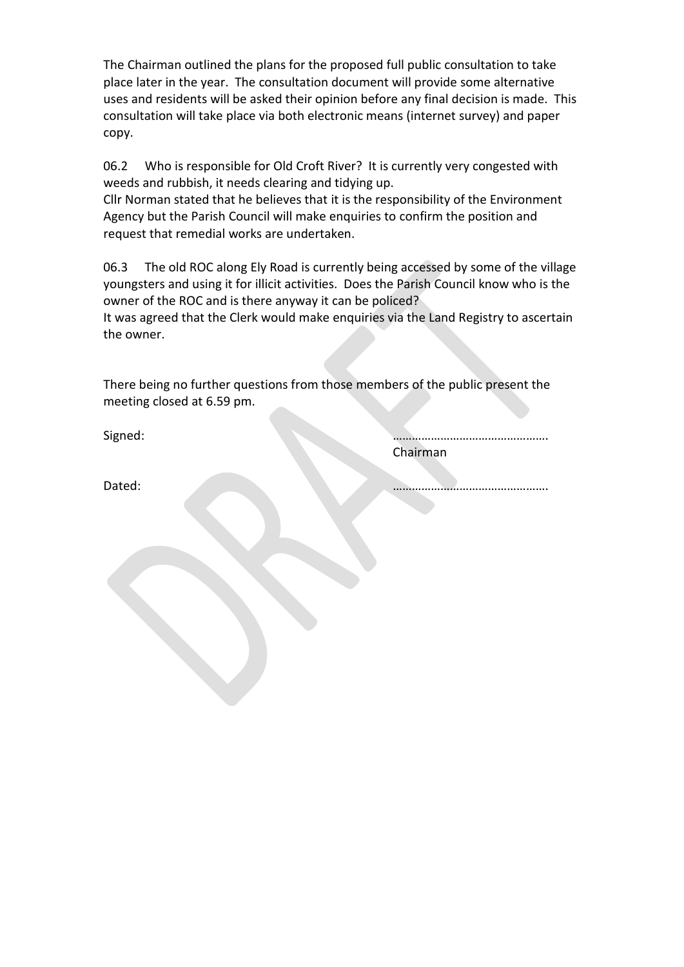The Chairman outlined the plans for the proposed full public consultation to take place later in the year. The consultation document will provide some alternative uses and residents will be asked their opinion before any final decision is made. This consultation will take place via both electronic means (internet survey) and paper copy.

06.2 Who is responsible for Old Croft River? It is currently very congested with weeds and rubbish, it needs clearing and tidying up.

Cllr Norman stated that he believes that it is the responsibility of the Environment Agency but the Parish Council will make enquiries to confirm the position and request that remedial works are undertaken.

06.3 The old ROC along Ely Road is currently being accessed by some of the village youngsters and using it for illicit activities. Does the Parish Council know who is the owner of the ROC and is there anyway it can be policed?

It was agreed that the Clerk would make enquiries via the Land Registry to ascertain the owner.

There being no further questions from those members of the public present the meeting closed at 6.59 pm.

Signed: ………………………………………….

Dated: ………………………………………….

Chairman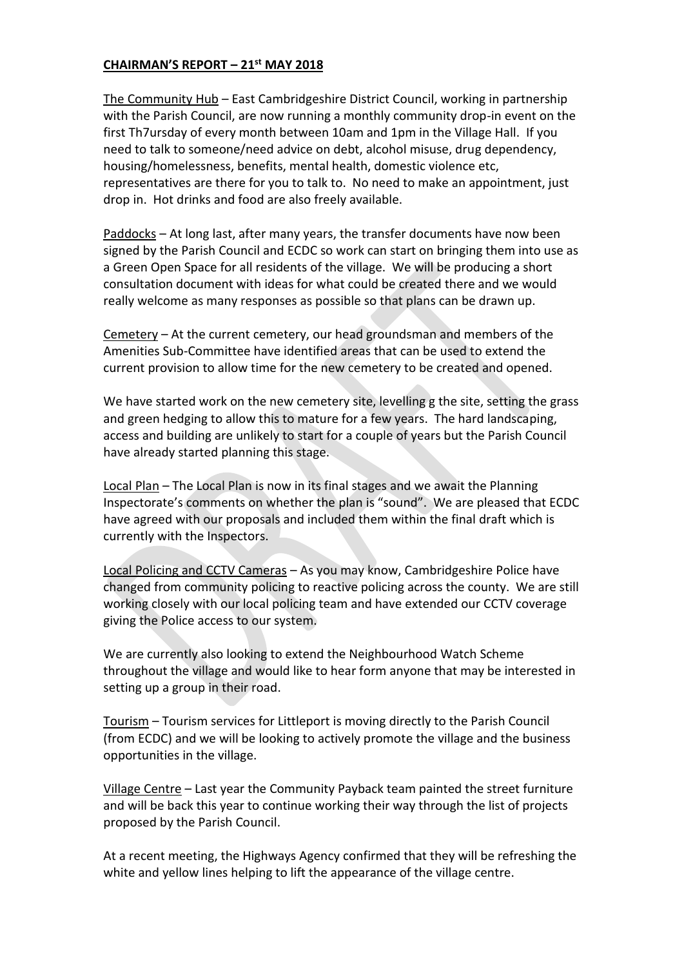### **CHAIRMAN'S REPORT – 21st MAY 2018**

The Community Hub – East Cambridgeshire District Council, working in partnership with the Parish Council, are now running a monthly community drop-in event on the first Th7ursday of every month between 10am and 1pm in the Village Hall. If you need to talk to someone/need advice on debt, alcohol misuse, drug dependency, housing/homelessness, benefits, mental health, domestic violence etc, representatives are there for you to talk to. No need to make an appointment, just drop in. Hot drinks and food are also freely available.

Paddocks – At long last, after many years, the transfer documents have now been signed by the Parish Council and ECDC so work can start on bringing them into use as a Green Open Space for all residents of the village. We will be producing a short consultation document with ideas for what could be created there and we would really welcome as many responses as possible so that plans can be drawn up.

Cemetery – At the current cemetery, our head groundsman and members of the Amenities Sub-Committee have identified areas that can be used to extend the current provision to allow time for the new cemetery to be created and opened.

We have started work on the new cemetery site, levelling g the site, setting the grass and green hedging to allow this to mature for a few years. The hard landscaping, access and building are unlikely to start for a couple of years but the Parish Council have already started planning this stage.

Local Plan – The Local Plan is now in its final stages and we await the Planning Inspectorate's comments on whether the plan is "sound". We are pleased that ECDC have agreed with our proposals and included them within the final draft which is currently with the Inspectors.

Local Policing and CCTV Cameras – As you may know, Cambridgeshire Police have changed from community policing to reactive policing across the county. We are still working closely with our local policing team and have extended our CCTV coverage giving the Police access to our system.

We are currently also looking to extend the Neighbourhood Watch Scheme throughout the village and would like to hear form anyone that may be interested in setting up a group in their road.

Tourism – Tourism services for Littleport is moving directly to the Parish Council (from ECDC) and we will be looking to actively promote the village and the business opportunities in the village.

Village Centre – Last year the Community Payback team painted the street furniture and will be back this year to continue working their way through the list of projects proposed by the Parish Council.

At a recent meeting, the Highways Agency confirmed that they will be refreshing the white and yellow lines helping to lift the appearance of the village centre.